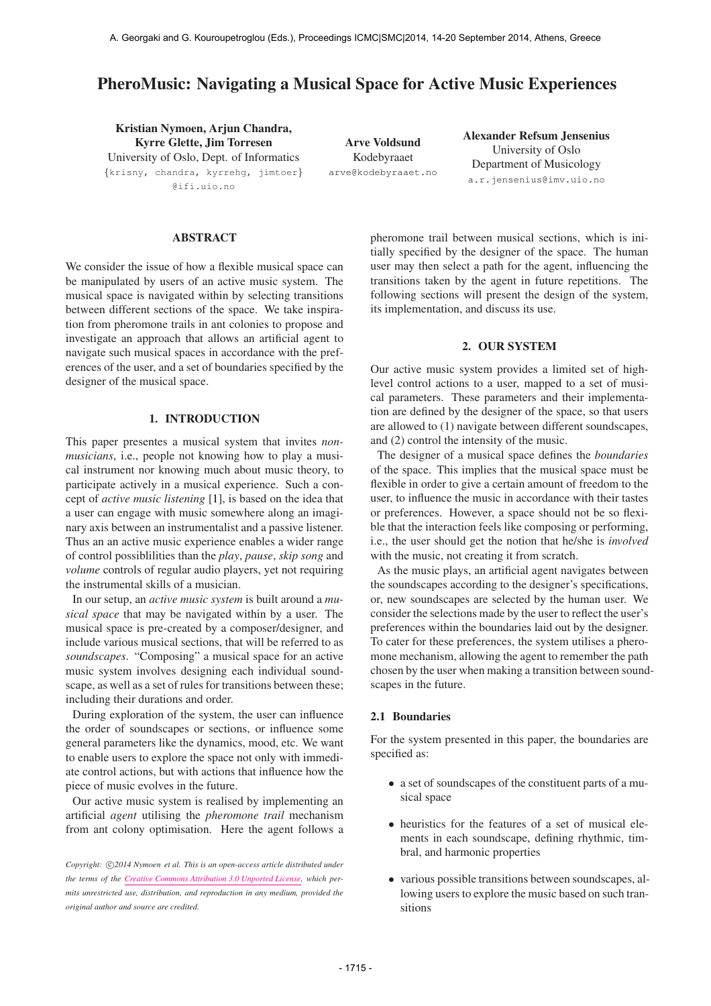# PheroMusic: Navigating a Musical Space for Active Music Experiences

Kristian Nymoen, Arjun Chandra, Kyrre Glette, Jim Torresen University of Oslo, Dept. of Informatics {krisny, chandra, kyrrehg, jimtoer} @ifi.uio.no

Arve Voldsund Kodebyraaet [arve@kodebyraaet.no](mailto:arve@kodebyraaet.no) Alexander Refsum Jensenius University of Oslo Department of Musicology [a.r.jensenius@imv.uio.no](mailto:a.r.jensenius@imv.uio.no)

# ABSTRACT

We consider the issue of how a flexible musical space can be manipulated by users of an active music system. The musical space is navigated within by selecting transitions between different sections of the space. We take inspiration from pheromone trails in ant colonies to propose and investigate an approach that allows an artificial agent to navigate such musical spaces in accordance with the preferences of the user, and a set of boundaries specified by the designer of the musical space.

# 1. INTRODUCTION

This paper presentes a musical system that invites *nonmusicians*, i.e., people not knowing how to play a musical instrument nor knowing much about music theory, to participate actively in a musical experience. Such a concept of *active music listening* [1], is based on the idea that a user can engage with music somewhere along an imaginary axis between an instrumentalist and a passive listener. Thus an an active music experience enables a wider range of control possiblilities than the *play*, *pause*, *skip song* and *volume* controls of regular audio players, yet not requiring the instrumental skills of a musician.

In our setup, an *active music system* is built around a *musical space* that may be navigated within by a user. The musical space is pre-created by a composer/designer, and include various musical sections, that will be referred to as *soundscapes*. "Composing" a musical space for an active music system involves designing each individual soundscape, as well as a set of rules for transitions between these; including their durations and order.

During exploration of the system, the user can influence the order of soundscapes or sections, or influence some general parameters like the dynamics, mood, etc. We want to enable users to explore the space not only with immediate control actions, but with actions that influence how the piece of music evolves in the future.

Our active music system is realised by implementing an artificial *agent* utilising the *pheromone trail* mechanism from ant colony optimisation. Here the agent follows a pheromone trail between musical sections, which is initially specified by the designer of the space. The human user may then select a path for the agent, influencing the transitions taken by the agent in future repetitions. The following sections will present the design of the system, its implementation, and discuss its use.

# 2. OUR SYSTEM

Our active music system provides a limited set of highlevel control actions to a user, mapped to a set of musical parameters. These parameters and their implementation are defined by the designer of the space, so that users are allowed to (1) navigate between different soundscapes, and (2) control the intensity of the music.

The designer of a musical space defines the *boundaries* of the space. This implies that the musical space must be flexible in order to give a certain amount of freedom to the user, to influence the music in accordance with their tastes or preferences. However, a space should not be so flexible that the interaction feels like composing or performing, i.e., the user should get the notion that he/she is *involved* with the music, not creating it from scratch.

As the music plays, an artificial agent navigates between the soundscapes according to the designer's specifications, or, new soundscapes are selected by the human user. We consider the selections made by the user to reflect the user's preferences within the boundaries laid out by the designer. To cater for these preferences, the system utilises a pheromone mechanism, allowing the agent to remember the path chosen by the user when making a transition between soundscapes in the future.

## 2.1 Boundaries

For the system presented in this paper, the boundaries are specified as:

- a set of soundscapes of the constituent parts of a musical space
- heuristics for the features of a set of musical elements in each soundscape, defining rhythmic, timbral, and harmonic properties
- various possible transitions between soundscapes, allowing users to explore the music based on such transitions

Copyright:  $\bigcirc$ 2014 Nymoen et al. This is an open-access article distributed under *the terms of the [Creative Commons Attribution 3.0 Unported License,](http://creativecommons.org/licenses/by/3.0/) which permits unrestricted use, distribution, and reproduction in any medium, provided the original author and source are credited.*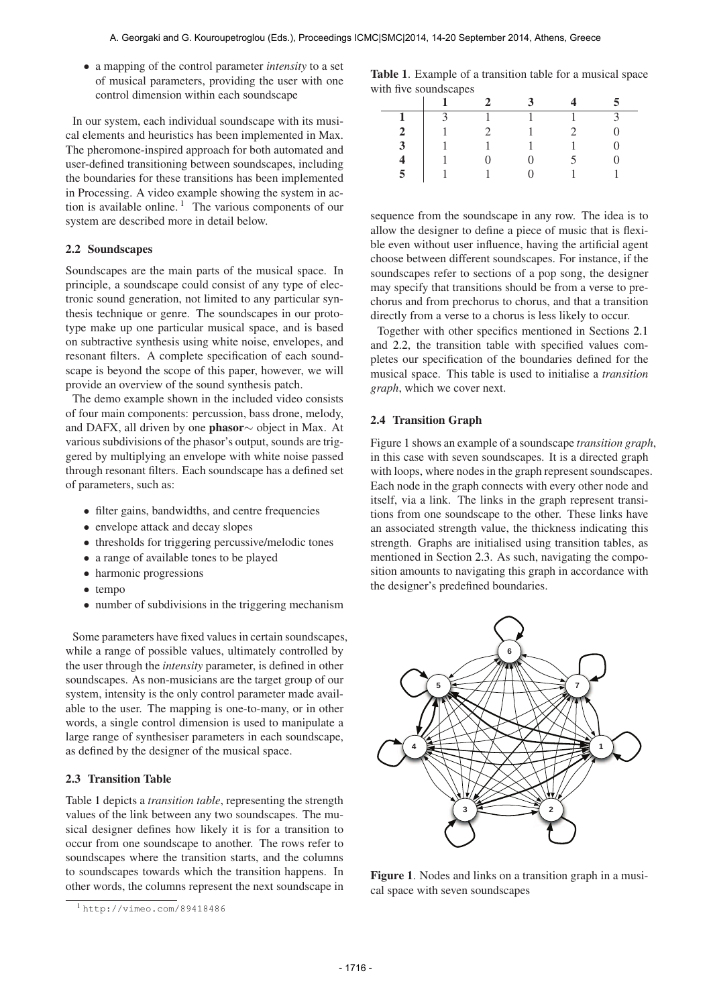• a mapping of the control parameter *intensity* to a set of musical parameters, providing the user with one control dimension within each soundscape

In our system, each individual soundscape with its musical elements and heuristics has been implemented in Max. The pheromone-inspired approach for both automated and user-defined transitioning between soundscapes, including the boundaries for these transitions has been implemented in Processing. A video example showing the system in action is available online.<sup>1</sup> The various components of our system are described more in detail below.

# 2.2 Soundscapes

Soundscapes are the main parts of the musical space. In principle, a soundscape could consist of any type of electronic sound generation, not limited to any particular synthesis technique or genre. The soundscapes in our prototype make up one particular musical space, and is based on subtractive synthesis using white noise, envelopes, and resonant filters. A complete specification of each soundscape is beyond the scope of this paper, however, we will provide an overview of the sound synthesis patch.

The demo example shown in the included video consists of four main components: percussion, bass drone, melody, and DAFX, all driven by one phasor∼ object in Max. At various subdivisions of the phasor's output, sounds are triggered by multiplying an envelope with white noise passed through resonant filters. Each soundscape has a defined set of parameters, such as:

- filter gains, bandwidths, and centre frequencies
- envelope attack and decay slopes
- thresholds for triggering percussive/melodic tones
- a range of available tones to be played
- harmonic progressions
- tempo
- number of subdivisions in the triggering mechanism

Some parameters have fixed values in certain soundscapes, while a range of possible values, ultimately controlled by the user through the *intensity* parameter, is defined in other soundscapes. As non-musicians are the target group of our system, intensity is the only control parameter made available to the user. The mapping is one-to-many, or in other words, a single control dimension is used to manipulate a large range of synthesiser parameters in each soundscape, as defined by the designer of the musical space.

# 2.3 Transition Table

Table 1 depicts a *transition table*, representing the strength values of the link between any two soundscapes. The musical designer defines how likely it is for a transition to occur from one soundscape to another. The rows refer to soundscapes where the transition starts, and the columns to soundscapes towards which the transition happens. In other words, the columns represent the next soundscape in

Table 1. Example of a transition table for a musical space with five soundscapes

|                | -              | $2^{\circ}$           | $\mathbf{3}$ |   |
|----------------|----------------|-----------------------|--------------|---|
| $\mathbf{1}$   | $\overline{3}$ | $\overline{1}$        |              |   |
| 2              |                | $\mathcal{D}_{\cdot}$ |              | 0 |
| $\mathbf{3}$   |                |                       |              | 0 |
|                |                |                       |              |   |
| $\overline{5}$ | $\overline{1}$ |                       |              |   |

sequence from the soundscape in any row. The idea is to allow the designer to define a piece of music that is flexible even without user influence, having the artificial agent choose between different soundscapes. For instance, if the soundscapes refer to sections of a pop song, the designer may specify that transitions should be from a verse to prechorus and from prechorus to chorus, and that a transition directly from a verse to a chorus is less likely to occur.

Together with other specifics mentioned in Sections 2.1 and 2.2, the transition table with specified values completes our specification of the boundaries defined for the musical space. This table is used to initialise a *transition graph*, which we cover next.

#### 2.4 Transition Graph

Figure 1 shows an example of a soundscape *transition graph*, in this case with seven soundscapes. It is a directed graph with loops, where nodes in the graph represent soundscapes. Each node in the graph connects with every other node and itself, via a link. The links in the graph represent transitions from one soundscape to the other. These links have an associated strength value, the thickness indicating this strength. Graphs are initialised using transition tables, as mentioned in Section 2.3. As such, navigating the composition amounts to navigating this graph in accordance with the designer's predefined boundaries.



Figure 1. Nodes and links on a transition graph in a musical space with seven soundscapes

<sup>1</sup> <http://vimeo.com/89418486>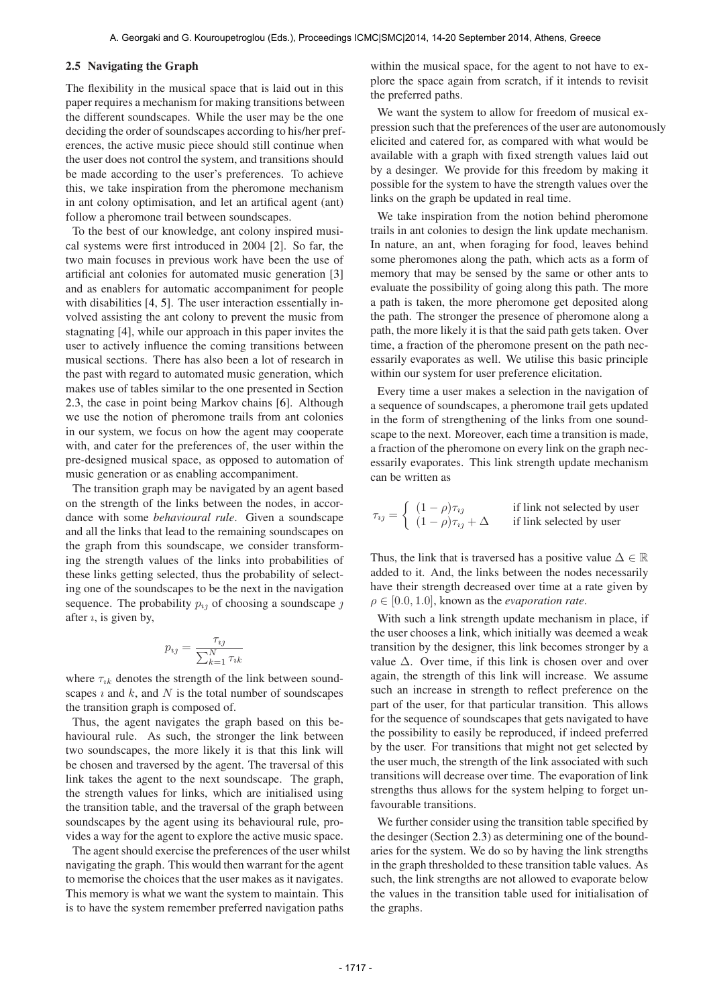#### 2.5 Navigating the Graph

The flexibility in the musical space that is laid out in this paper requires a mechanism for making transitions between the different soundscapes. While the user may be the one deciding the order of soundscapes according to his/her preferences, the active music piece should still continue when the user does not control the system, and transitions should be made according to the user's preferences. To achieve this, we take inspiration from the pheromone mechanism in ant colony optimisation, and let an artifical agent (ant) follow a pheromone trail between soundscapes.

To the best of our knowledge, ant colony inspired musical systems were first introduced in 2004 [2]. So far, the two main focuses in previous work have been the use of artificial ant colonies for automated music generation [3] and as enablers for automatic accompaniment for people with disabilities [4, 5]. The user interaction essentially involved assisting the ant colony to prevent the music from stagnating [4], while our approach in this paper invites the user to actively influence the coming transitions between musical sections. There has also been a lot of research in the past with regard to automated music generation, which makes use of tables similar to the one presented in Section 2.3, the case in point being Markov chains [6]. Although we use the notion of pheromone trails from ant colonies in our system, we focus on how the agent may cooperate with, and cater for the preferences of, the user within the pre-designed musical space, as opposed to automation of music generation or as enabling accompaniment.

The transition graph may be navigated by an agent based on the strength of the links between the nodes, in accordance with some *behavioural rule*. Given a soundscape and all the links that lead to the remaining soundscapes on the graph from this soundscape, we consider transforming the strength values of the links into probabilities of these links getting selected, thus the probability of selecting one of the soundscapes to be the next in the navigation sequence. The probability  $p_{ij}$  of choosing a soundscape  $j$ after  $\imath$ , is given by,

$$
p_{ij} = \frac{\tau_{ij}}{\sum_{k=1}^{N} \tau_{ik}}
$$

where  $\tau_{ik}$  denotes the strength of the link between soundscapes  $\imath$  and  $k$ , and  $N$  is the total number of soundscapes the transition graph is composed of.

Thus, the agent navigates the graph based on this behavioural rule. As such, the stronger the link between two soundscapes, the more likely it is that this link will be chosen and traversed by the agent. The traversal of this link takes the agent to the next soundscape. The graph, the strength values for links, which are initialised using the transition table, and the traversal of the graph between soundscapes by the agent using its behavioural rule, provides a way for the agent to explore the active music space.

The agent should exercise the preferences of the user whilst navigating the graph. This would then warrant for the agent to memorise the choices that the user makes as it navigates. This memory is what we want the system to maintain. This is to have the system remember preferred navigation paths

within the musical space, for the agent to not have to explore the space again from scratch, if it intends to revisit the preferred paths.

We want the system to allow for freedom of musical expression such that the preferences of the user are autonomously elicited and catered for, as compared with what would be available with a graph with fixed strength values laid out by a desinger. We provide for this freedom by making it possible for the system to have the strength values over the links on the graph be updated in real time.

We take inspiration from the notion behind pheromone trails in ant colonies to design the link update mechanism. In nature, an ant, when foraging for food, leaves behind some pheromones along the path, which acts as a form of memory that may be sensed by the same or other ants to evaluate the possibility of going along this path. The more a path is taken, the more pheromone get deposited along the path. The stronger the presence of pheromone along a path, the more likely it is that the said path gets taken. Over time, a fraction of the pheromone present on the path necessarily evaporates as well. We utilise this basic principle within our system for user preference elicitation.

Every time a user makes a selection in the navigation of a sequence of soundscapes, a pheromone trail gets updated in the form of strengthening of the links from one soundscape to the next. Moreover, each time a transition is made, a fraction of the pheromone on every link on the graph necessarily evaporates. This link strength update mechanism can be written as

$$
\tau_{ij} = \begin{cases}\n(1 - \rho)\tau_{ij} & \text{if link not selected by user} \\
(1 - \rho)\tau_{ij} + \Delta & \text{if link selected by user}\n\end{cases}
$$

Thus, the link that is traversed has a positive value  $\Delta \in \mathbb{R}$ added to it. And, the links between the nodes necessarily have their strength decreased over time at a rate given by  $\rho \in [0.0, 1.0]$ , known as the *evaporation rate*.

With such a link strength update mechanism in place, if the user chooses a link, which initially was deemed a weak transition by the designer, this link becomes stronger by a value  $\Delta$ . Over time, if this link is chosen over and over again, the strength of this link will increase. We assume such an increase in strength to reflect preference on the part of the user, for that particular transition. This allows for the sequence of soundscapes that gets navigated to have the possibility to easily be reproduced, if indeed preferred by the user. For transitions that might not get selected by the user much, the strength of the link associated with such transitions will decrease over time. The evaporation of link strengths thus allows for the system helping to forget unfavourable transitions.

We further consider using the transition table specified by the desinger (Section 2.3) as determining one of the boundaries for the system. We do so by having the link strengths in the graph thresholded to these transition table values. As such, the link strengths are not allowed to evaporate below the values in the transition table used for initialisation of the graphs.